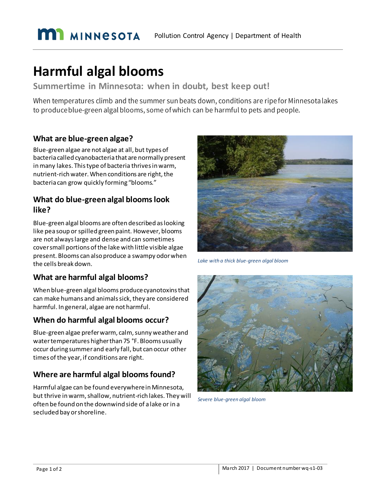# **Harmful algal blooms**

**Summertime in Minnesota: when in doubt, best keep out!**

When temperatures climb and the summer sun beats down, conditions are ripe for Minnesotalakes to produce blue-green algal blooms, some of which can be harmful to pets and people.

#### **What are blue-green algae?**

Blue-green algae are not algae at all, but types of bacteria called cyanobacteria that are normally present in many lakes. This type of bacteria thrives in warm, nutrient-rich water. When conditions are right, the bacteria can grow quickly forming "blooms."

#### **What do blue-green algal blooms look like?**

Blue-green algal blooms are often described as looking like pea soup or spilled green paint. However, blooms are not always large and dense and can sometimes cover small portions of the lake with little visible algae present. Blooms can also produce a swampy odor when the cells break down.

## **What are harmful algal blooms?**

When blue-green algal blooms produce cyanotoxins that can make humans and animals sick, they are considered harmful. In general, algae are not harmful.

## **When do harmful algal blooms occur?**

Blue-green algae prefer warm, calm, sunny weather and water temperatures higher than 75 °F. Blooms usually occur during summer and early fall, but can occur other times of the year, if conditions are right.

## **Where are harmful algal blooms found?**

Harmful algae can be found everywhere in Minnesota, but thrive in warm, shallow, nutrient-rich lakes. They will often be found on the downwind side of a lake or in a secluded bay or shoreline.



*Lake with a thick blue-green algal bloom* 



*Severe blue-green algal bloom*